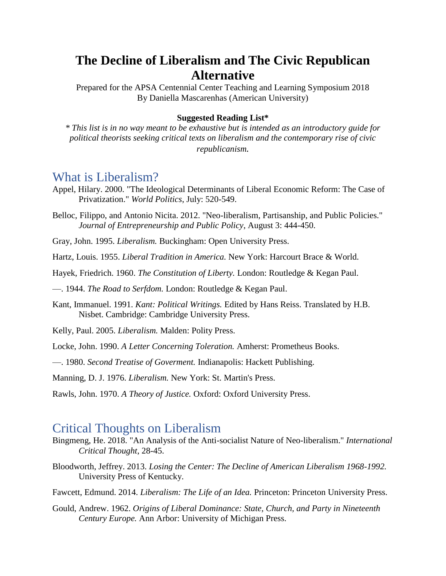# **The Decline of Liberalism and The Civic Republican Alternative**

Prepared for the APSA Centennial Center Teaching and Learning Symposium 2018 By Daniella Mascarenhas (American University)

#### **Suggested Reading List\***

*\* This list is in no way meant to be exhaustive but is intended as an introductory guide for political theorists seeking critical texts on liberalism and the contemporary rise of civic republicanism.*

### What is Liberalism?

- Appel, Hilary. 2000. "The Ideological Determinants of Liberal Economic Reform: The Case of Privatization." *World Politics*, July: 520-549.
- Belloc, Filippo, and Antonio Nicita. 2012. "Neo-liberalism, Partisanship, and Public Policies." *Journal of Entrepreneurship and Public Policy*, August 3: 444-450.
- Gray, John. 1995. *Liberalism.* Buckingham: Open University Press.
- Hartz, Louis. 1955. *Liberal Tradition in America.* New York: Harcourt Brace & World.
- Hayek, Friedrich. 1960. *The Constitution of Liberty.* London: Routledge & Kegan Paul.

—. 1944. *The Road to Serfdom.* London: Routledge & Kegan Paul.

- Kant, Immanuel. 1991. *Kant: Political Writings.* Edited by Hans Reiss. Translated by H.B. Nisbet. Cambridge: Cambridge University Press.
- Kelly, Paul. 2005. *Liberalism.* Malden: Polity Press.
- Locke, John. 1990. *A Letter Concerning Toleration.* Amherst: Prometheus Books.
- —. 1980. *Second Treatise of Goverment.* Indianapolis: Hackett Publishing.

Manning, D. J. 1976. *Liberalism.* New York: St. Martin's Press.

Rawls, John. 1970. *A Theory of Justice.* Oxford: Oxford University Press.

#### Critical Thoughts on Liberalism

- Bingmeng, He. 2018. "An Analysis of the Anti-socialist Nature of Neo-liberalism." *International Critical Thought*, 28-45.
- Bloodworth, Jeffrey. 2013. *Losing the Center: The Decline of American Liberalism 1968-1992.* University Press of Kentucky.

Fawcett, Edmund. 2014. *Liberalism: The Life of an Idea.* Princeton: Princeton University Press.

Gould, Andrew. 1962. *Origins of Liberal Dominance: State, Church, and Party in Nineteenth Century Europe.* Ann Arbor: University of Michigan Press.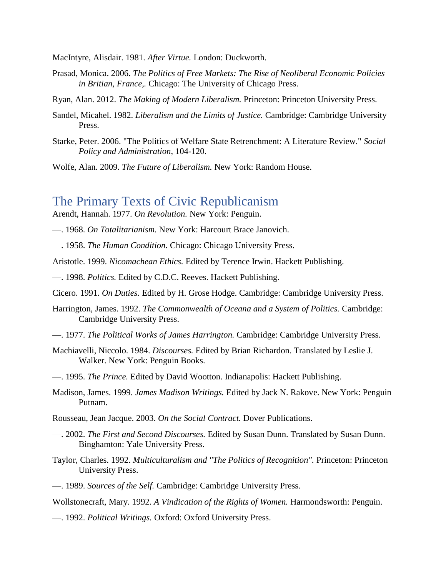MacIntyre, Alisdair. 1981. *After Virtue.* London: Duckworth.

- Prasad, Monica. 2006. *The Politics of Free Markets: The Rise of Neoliberal Economic Policies in Britian, France,.* Chicago: The University of Chicago Press.
- Ryan, Alan. 2012. *The Making of Modern Liberalism.* Princeton: Princeton University Press.
- Sandel, Micahel. 1982. *Liberalism and the Limits of Justice.* Cambridge: Cambridge University Press.
- Starke, Peter. 2006. "The Politics of Welfare State Retrenchment: A Literature Review." *Social Policy and Administration*, 104-120.
- Wolfe, Alan. 2009. *The Future of Liberalism.* New York: Random House.

## The Primary Texts of Civic Republicanism

Arendt, Hannah. 1977. *On Revolution.* New York: Penguin.

- —. 1968. *On Totalitarianism.* New York: Harcourt Brace Janovich.
- —. 1958. *The Human Condition.* Chicago: Chicago University Press.
- Aristotle. 1999. *Nicomachean Ethics.* Edited by Terence Irwin. Hackett Publishing.
- —. 1998. *Politics.* Edited by C.D.C. Reeves. Hackett Publishing.
- Cicero. 1991. *On Duties.* Edited by H. Grose Hodge. Cambridge: Cambridge University Press.
- Harrington, James. 1992. *The Commonwealth of Oceana and a System of Politics.* Cambridge: Cambridge University Press.
- —. 1977. *The Political Works of James Harrington.* Cambridge: Cambridge University Press.
- Machiavelli, Niccolo. 1984. *Discourses.* Edited by Brian Richardon. Translated by Leslie J. Walker. New York: Penguin Books.
- —. 1995. *The Prince.* Edited by David Wootton. Indianapolis: Hackett Publishing.
- Madison, James. 1999. *James Madison Writings.* Edited by Jack N. Rakove. New York: Penguin Putnam.
- Rousseau, Jean Jacque. 2003. *On the Social Contract.* Dover Publications.
- —. 2002. *The First and Second Discourses.* Edited by Susan Dunn. Translated by Susan Dunn. Binghamton: Yale University Press.
- Taylor, Charles. 1992. *Multiculturalism and "The Politics of Recognition".* Princeton: Princeton University Press.
- —. 1989. *Sources of the Self.* Cambridge: Cambridge University Press.

Wollstonecraft, Mary. 1992. *A Vindication of the Rights of Women.* Harmondsworth: Penguin.

—. 1992. *Political Writings.* Oxford: Oxford University Press.